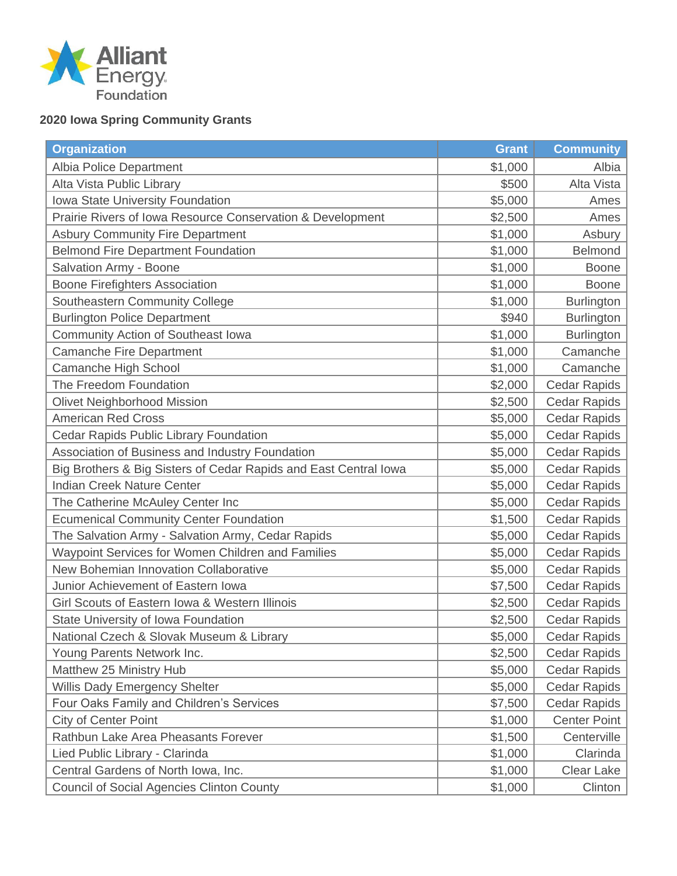

## **2020 Iowa Spring Community Grants**

| <b>Organization</b>                                              | <b>Grant</b> | <b>Community</b>    |
|------------------------------------------------------------------|--------------|---------------------|
| Albia Police Department                                          | \$1,000      | Albia               |
| Alta Vista Public Library                                        | \$500        | Alta Vista          |
| Iowa State University Foundation                                 | \$5,000      | Ames                |
| Prairie Rivers of Iowa Resource Conservation & Development       | \$2,500      | Ames                |
| <b>Asbury Community Fire Department</b>                          | \$1,000      | Asbury              |
| <b>Belmond Fire Department Foundation</b>                        | \$1,000      | <b>Belmond</b>      |
| <b>Salvation Army - Boone</b>                                    | \$1,000      | <b>Boone</b>        |
| <b>Boone Firefighters Association</b>                            | \$1,000      | <b>Boone</b>        |
| Southeastern Community College                                   | \$1,000      | <b>Burlington</b>   |
| <b>Burlington Police Department</b>                              | \$940        | <b>Burlington</b>   |
| Community Action of Southeast Iowa                               | \$1,000      | <b>Burlington</b>   |
| <b>Camanche Fire Department</b>                                  | \$1,000      | Camanche            |
| Camanche High School                                             | \$1,000      | Camanche            |
| The Freedom Foundation                                           | \$2,000      | <b>Cedar Rapids</b> |
| <b>Olivet Neighborhood Mission</b>                               | \$2,500      | <b>Cedar Rapids</b> |
| <b>American Red Cross</b>                                        | \$5,000      | <b>Cedar Rapids</b> |
| Cedar Rapids Public Library Foundation                           | \$5,000      | <b>Cedar Rapids</b> |
| Association of Business and Industry Foundation                  | \$5,000      | <b>Cedar Rapids</b> |
| Big Brothers & Big Sisters of Cedar Rapids and East Central lowa | \$5,000      | <b>Cedar Rapids</b> |
| <b>Indian Creek Nature Center</b>                                | \$5,000      | <b>Cedar Rapids</b> |
| The Catherine McAuley Center Inc                                 | \$5,000      | <b>Cedar Rapids</b> |
| <b>Ecumenical Community Center Foundation</b>                    | \$1,500      | <b>Cedar Rapids</b> |
| The Salvation Army - Salvation Army, Cedar Rapids                | \$5,000      | <b>Cedar Rapids</b> |
| Waypoint Services for Women Children and Families                | \$5,000      | Cedar Rapids        |
| New Bohemian Innovation Collaborative                            | \$5,000      | Cedar Rapids        |
| Junior Achievement of Eastern Iowa                               | \$7,500      | <b>Cedar Rapids</b> |
| Girl Scouts of Eastern Iowa & Western Illinois                   | \$2,500      | <b>Cedar Rapids</b> |
| State University of Iowa Foundation                              | \$2,500      | Cedar Rapids        |
| National Czech & Slovak Museum & Library                         | \$5,000      | <b>Cedar Rapids</b> |
| Young Parents Network Inc.                                       | \$2,500      | <b>Cedar Rapids</b> |
| Matthew 25 Ministry Hub                                          | \$5,000      | <b>Cedar Rapids</b> |
| Willis Dady Emergency Shelter                                    | \$5,000      | <b>Cedar Rapids</b> |
| Four Oaks Family and Children's Services                         | \$7,500      | <b>Cedar Rapids</b> |
| <b>City of Center Point</b>                                      | \$1,000      | <b>Center Point</b> |
| Rathbun Lake Area Pheasants Forever                              | \$1,500      | Centerville         |
| Lied Public Library - Clarinda                                   | \$1,000      | Clarinda            |
| Central Gardens of North Iowa, Inc.                              | \$1,000      | Clear Lake          |
| <b>Council of Social Agencies Clinton County</b>                 | \$1,000      | Clinton             |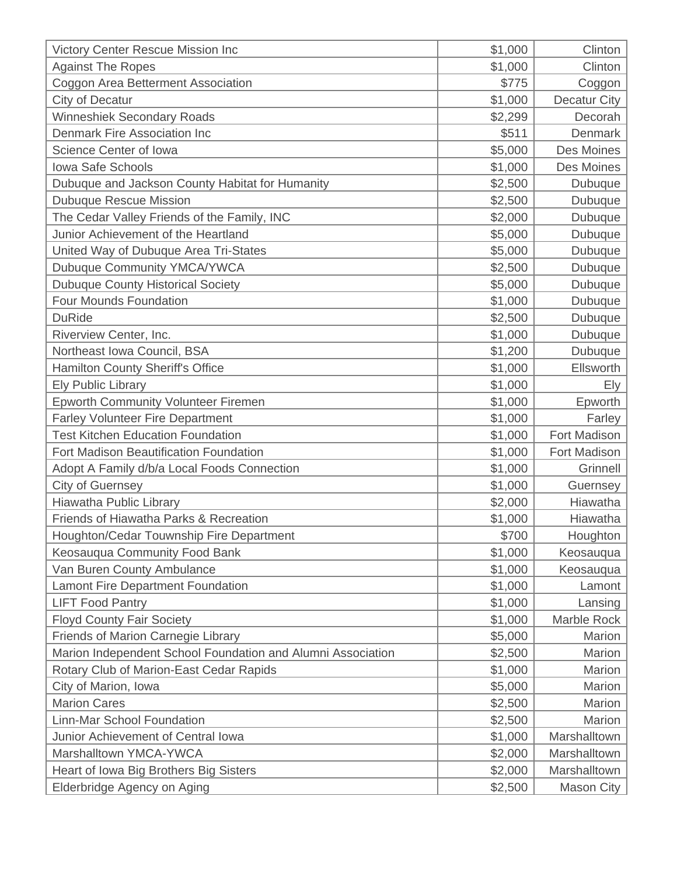| Victory Center Rescue Mission Inc                           | \$1,000 | Clinton      |
|-------------------------------------------------------------|---------|--------------|
| <b>Against The Ropes</b>                                    | \$1,000 | Clinton      |
| Coggon Area Betterment Association                          | \$775   | Coggon       |
| City of Decatur                                             | \$1,000 | Decatur City |
| <b>Winneshiek Secondary Roads</b>                           | \$2,299 | Decorah      |
| Denmark Fire Association Inc                                | \$511   | Denmark      |
| Science Center of Iowa                                      | \$5,000 | Des Moines   |
| <b>Iowa Safe Schools</b>                                    | \$1,000 | Des Moines   |
| Dubuque and Jackson County Habitat for Humanity             | \$2,500 | Dubuque      |
| <b>Dubuque Rescue Mission</b>                               | \$2,500 | Dubuque      |
| The Cedar Valley Friends of the Family, INC                 | \$2,000 | Dubuque      |
| Junior Achievement of the Heartland                         | \$5,000 | Dubuque      |
| United Way of Dubuque Area Tri-States                       | \$5,000 | Dubuque      |
| Dubuque Community YMCA/YWCA                                 | \$2,500 | Dubuque      |
| <b>Dubuque County Historical Society</b>                    | \$5,000 | Dubuque      |
| <b>Four Mounds Foundation</b>                               | \$1,000 | Dubuque      |
| <b>DuRide</b>                                               | \$2,500 | Dubuque      |
| Riverview Center, Inc.                                      | \$1,000 | Dubuque      |
| Northeast Iowa Council, BSA                                 | \$1,200 | Dubuque      |
| Hamilton County Sheriff's Office                            | \$1,000 | Ellsworth    |
| <b>Ely Public Library</b>                                   | \$1,000 | Ely          |
| <b>Epworth Community Volunteer Firemen</b>                  | \$1,000 | Epworth      |
| <b>Farley Volunteer Fire Department</b>                     | \$1,000 | Farley       |
| <b>Test Kitchen Education Foundation</b>                    | \$1,000 | Fort Madison |
| <b>Fort Madison Beautification Foundation</b>               | \$1,000 | Fort Madison |
| Adopt A Family d/b/a Local Foods Connection                 | \$1,000 | Grinnell     |
| <b>City of Guernsey</b>                                     | \$1,000 | Guernsey     |
| Hiawatha Public Library                                     | \$2,000 | Hiawatha     |
| Friends of Hiawatha Parks & Recreation                      | \$1,000 | Hiawatha     |
| Houghton/Cedar Touwnship Fire Department                    | \$700   | Houghton     |
| Keosauqua Community Food Bank                               | \$1,000 | Keosauqua    |
| Van Buren County Ambulance                                  | \$1,000 | Keosauqua    |
| Lamont Fire Department Foundation                           | \$1,000 | Lamont       |
| <b>LIFT Food Pantry</b>                                     | \$1,000 | Lansing      |
| <b>Floyd County Fair Society</b>                            | \$1,000 | Marble Rock  |
| Friends of Marion Carnegie Library                          | \$5,000 | Marion       |
| Marion Independent School Foundation and Alumni Association | \$2,500 | Marion       |
| Rotary Club of Marion-East Cedar Rapids                     | \$1,000 | Marion       |
| City of Marion, Iowa                                        | \$5,000 | Marion       |
| <b>Marion Cares</b>                                         | \$2,500 | Marion       |
| Linn-Mar School Foundation                                  | \$2,500 | Marion       |
| Junior Achievement of Central Iowa                          | \$1,000 | Marshalltown |
| Marshalltown YMCA-YWCA                                      | \$2,000 | Marshalltown |
| Heart of Iowa Big Brothers Big Sisters                      | \$2,000 | Marshalltown |
| Elderbridge Agency on Aging                                 | \$2,500 | Mason City   |